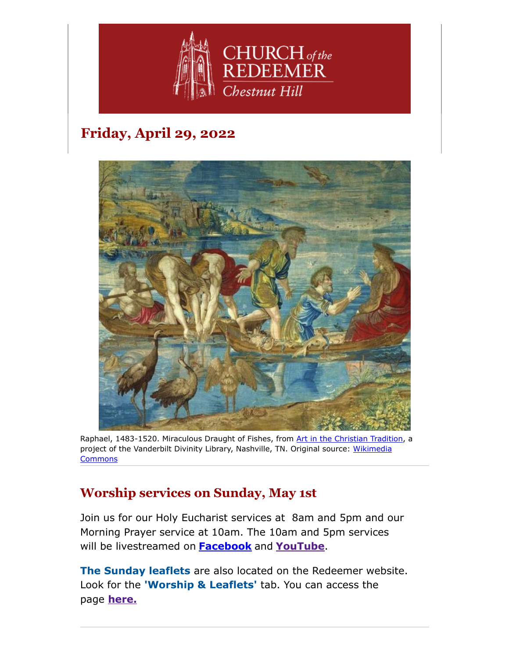

# **Friday, April 29, 2022**



Raphael, 1483-1520. Miraculous Draught of Fishes, from [Art in the Christian Tradition,](https://diglib.library.vanderbilt.edu/act-imagelink.pl?RC=55340) a [project of the Vanderbilt Divinity Library, Nashville, TN.](http://commons.wikimedia.org/wiki/File:V%2526A_-_Raphael,_The_Miraculous_Draught_of_Fishes_(1515).jpg#.) Original source: Wikimedia **Commons** 

## **Worship services on Sunday, May 1st**

Join us for our Holy Eucharist services at 8am and 5pm and our Morning Prayer service at 10am. The 10am and 5pm services will be livestreamed on **[Facebook](https://www.facebook.com/redeemerchestnuthill)** and **[YouTube](https://www.youtube.com/channel/UCuF2ATr93WfFYaj4XlyKKDw)**.

**The Sunday leaflets** are also located on the Redeemer website. Look for the **'Worship & Leaflets'** tab. You can access the page **[here.](https://www.redeemerchestnuthill.org/worship-services)**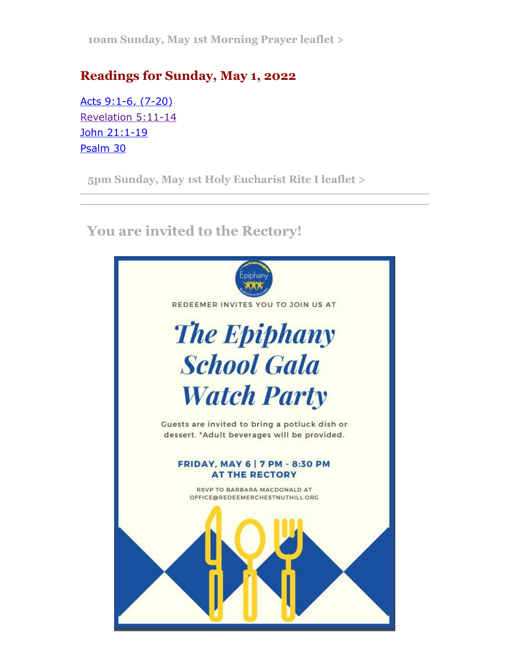**[10am Sunday, May 1st Morning Prayer leaflet >](https://drive.google.com/file/d/1kGdtWaCRRtyR653ofhcR5s4O0Mb3CLDC/view?usp=sharing)**

## **Readings for Sunday, May 1, 2022**

[Acts 9:1-6, \(7-20\)](https://lectionarypage.net/YearC_RCL/Easter/CEaster3_RCL.html#ot1) [Revelation 5:11-14](https://lectionarypage.net/YearC_RCL/Easter/CEaster3_RCL.html#nt1) [John 21:1-19](https://lectionarypage.net/YearC_RCL/Easter/CEaster3_RCL.html#gsp1) [Psalm 30](https://lectionarypage.net/YearC_RCL/Easter/CEaster3_RCL.html#ps1)

**[5pm Sunday, May 1st Holy Eucharist Rite I leaflet >](https://drive.google.com/file/d/1jab9bwfDoBf_7rkNjm3GfR2IRg5k-sj9/view?usp=sharing)**

 **You are invited to the Rectory!**

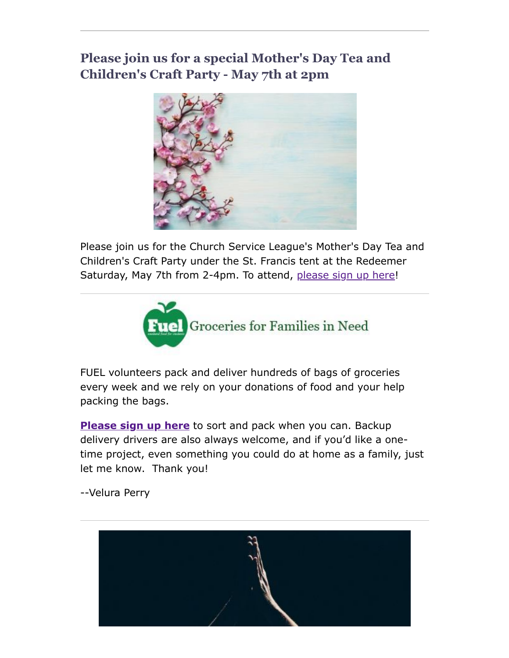## **Please join us for a special Mother's Day Tea and Children's Craft Party - May 7th at 2pm**



Please join us for the Church Service League's Mother's Day Tea and Children's Craft Party under the St. Francis tent at the Redeemer Saturday, May 7th from 2-4pm. To attend, [please sign up here](https://www.signupgenius.com/go/4090C4FACAA23A4FD0-church)!



FUEL volunteers pack and deliver hundreds of bags of groceries every week and we rely on your donations of food and your help packing the bags.

**[Please sign up here](https://signup.com/go/FNGHQhR)** to sort and pack when you can. Backup delivery drivers are also always welcome, and if you'd like a onetime project, even something you could do at home as a family, just let me know. Thank you!

--Velura Perry

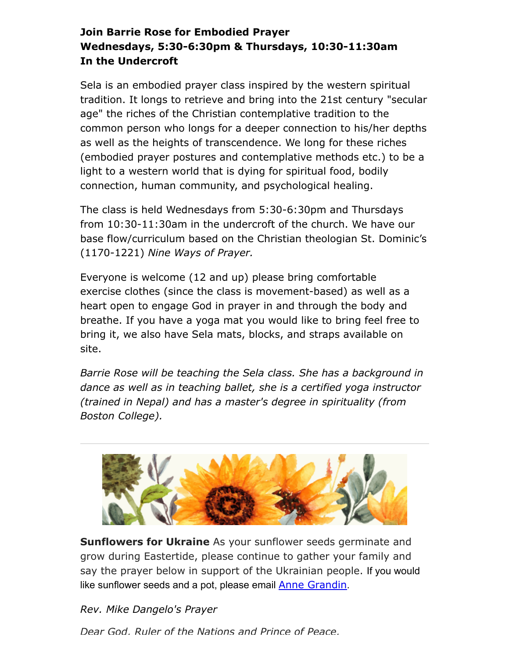#### **Join Barrie Rose for Embodied Prayer Wednesdays, 5:30-6:30pm & Thursdays, 10:30-11:30am In the Undercroft**

Sela is an embodied prayer class inspired by the western spiritual tradition. It longs to retrieve and bring into the 21st century "secular age" the riches of the Christian contemplative tradition to the common person who longs for a deeper connection to his/her depths as well as the heights of transcendence. We long for these riches (embodied prayer postures and contemplative methods etc.) to be a light to a western world that is dying for spiritual food, bodily connection, human community, and psychological healing.

The class is held Wednesdays from 5:30-6:30pm and Thursdays from 10:30-11:30am in the undercroft of the church. We have our base flow/curriculum based on the Christian theologian St. Dominic's (1170-1221) *Nine Ways of Prayer.*

Everyone is welcome (12 and up) please bring comfortable exercise clothes (since the class is movement-based) as well as a heart open to engage God in prayer in and through the body and breathe. If you have a yoga mat you would like to bring feel free to bring it, we also have Sela mats, blocks, and straps available on site.

*Barrie Rose will be teaching the Sela class. She has a background in dance as well as in teaching ballet, she is a certified yoga instructor (trained in Nepal) and has a master's degree in spirituality (from Boston College).*



**Sunflowers for Ukraine** As your sunflower seeds germinate and grow during Eastertide, please continue to gather your family and say the prayer below in support of the Ukrainian people. If you would like sunflower seeds and a pot, please email **[Anne Grandin](mailto:annegrandin@icloud.com)**.

*Rev. Mike Dangelo's Prayer*

*Dear God, Ruler of the Nations and Prince of Peace,*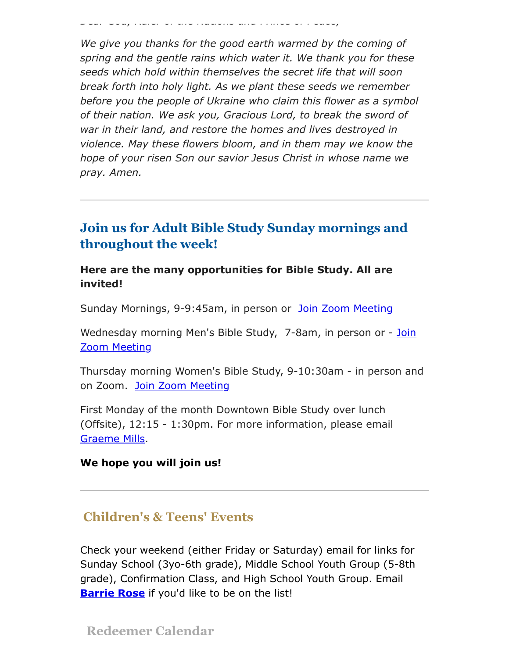*Dear God, Ruler of the Nations and Prince of Peace,*

*We give you thanks for the good earth warmed by the coming of spring and the gentle rains which water it. We thank you for these seeds which hold within themselves the secret life that will soon break forth into holy light. As we plant these seeds we remember before you the people of Ukraine who claim this flower as a symbol of their nation. We ask you, Gracious Lord, to break the sword of war in their land, and restore the homes and lives destroyed in violence. May these flowers bloom, and in them may we know the hope of your risen Son our savior Jesus Christ in whose name we pray. Amen.*

### **Join us for Adult Bible Study Sunday mornings and throughout the week!**

#### **Here are the many opportunities for Bible Study. All are invited!**

Sunday Mornings, 9-9:45am, in person or [Join Zoom Meeting](https://us02web.zoom.us/j/86566228912?pwd=aGxWTU1PU3Y3TDZsVTdmbXg2UnNvZz09)

[Wednesday morning Men's Bible Study, 7-8am,](https://us02web.zoom.us/j/89392200698?pwd=czIzYmlKT1JCRmkrdlBFM2lJaGdkZz09) in person or - Join Zoom Meeting

Thursday morning Women's Bible Study, 9-10:30am - in person and on Zoom. [Join Zoom Meeting](https://us02web.zoom.us/j/82431832126?pwd=ZXBLQUFnL2haSEZyWll3b0R0MEpmUT09#success#success)

First Monday of the month Downtown Bible Study over lunch (Offsite), 12:15 - 1:30pm. For more information, please email [Graeme Mills](mailto:gmills@cambridgeassociates.com).

#### **We hope you will join us!**

#### **Children's & Teens' Events**

Check your weekend (either Friday or Saturday) email for links for Sunday School (3yo-6th grade), Middle School Youth Group (5-8th grade), Confirmation Class, and High School Youth Group. Email **[Barrie Rose](mailto:families@redeemerchestnuthill.org)** if you'd like to be on the list!

**Redeemer Calendar**